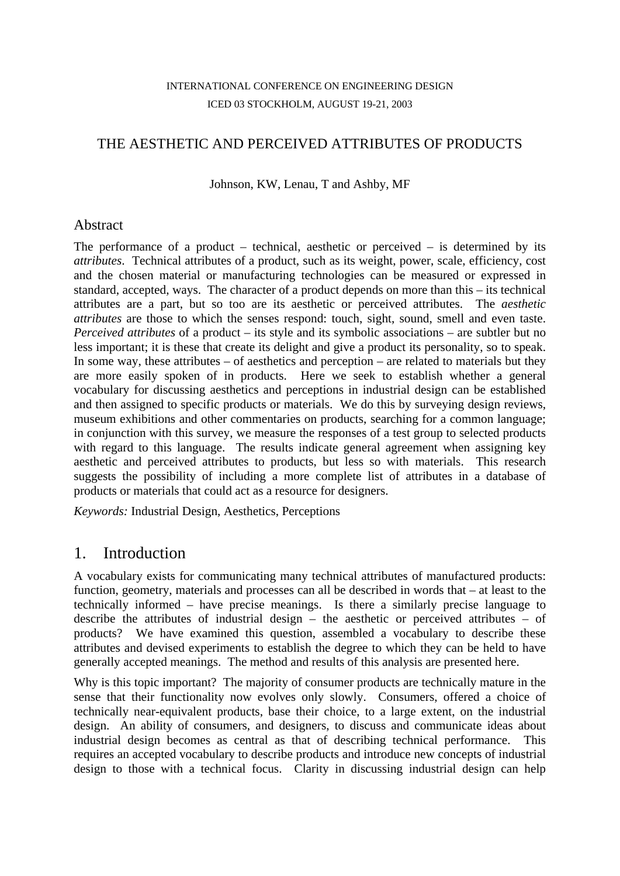#### INTERNATIONAL CONFERENCE ON ENGINEERING DESIGN ICED 03 STOCKHOLM, AUGUST 19-21, 2003

### THE AESTHETIC AND PERCEIVED ATTRIBUTES OF PRODUCTS

Johnson, KW, Lenau, T and Ashby, MF

#### Abstract

The performance of a product – technical, aesthetic or perceived – is determined by its *attributes*. Technical attributes of a product, such as its weight, power, scale, efficiency, cost and the chosen material or manufacturing technologies can be measured or expressed in standard, accepted, ways. The character of a product depends on more than this – its technical attributes are a part, but so too are its aesthetic or perceived attributes. The *aesthetic attributes* are those to which the senses respond: touch, sight, sound, smell and even taste. *Perceived attributes* of a product – its style and its symbolic associations – are subtler but no less important; it is these that create its delight and give a product its personality, so to speak. In some way, these attributes – of aesthetics and perception – are related to materials but they are more easily spoken of in products. Here we seek to establish whether a general vocabulary for discussing aesthetics and perceptions in industrial design can be established and then assigned to specific products or materials. We do this by surveying design reviews, museum exhibitions and other commentaries on products, searching for a common language; in conjunction with this survey, we measure the responses of a test group to selected products with regard to this language. The results indicate general agreement when assigning key aesthetic and perceived attributes to products, but less so with materials. This research suggests the possibility of including a more complete list of attributes in a database of products or materials that could act as a resource for designers.

*Keywords:* Industrial Design, Aesthetics, Perceptions

## 1. Introduction

A vocabulary exists for communicating many technical attributes of manufactured products: function, geometry, materials and processes can all be described in words that – at least to the technically informed – have precise meanings. Is there a similarly precise language to describe the attributes of industrial design – the aesthetic or perceived attributes – of products? We have examined this question, assembled a vocabulary to describe these attributes and devised experiments to establish the degree to which they can be held to have generally accepted meanings. The method and results of this analysis are presented here.

Why is this topic important? The majority of consumer products are technically mature in the sense that their functionality now evolves only slowly. Consumers, offered a choice of technically near-equivalent products, base their choice, to a large extent, on the industrial design. An ability of consumers, and designers, to discuss and communicate ideas about industrial design becomes as central as that of describing technical performance. This requires an accepted vocabulary to describe products and introduce new concepts of industrial design to those with a technical focus. Clarity in discussing industrial design can help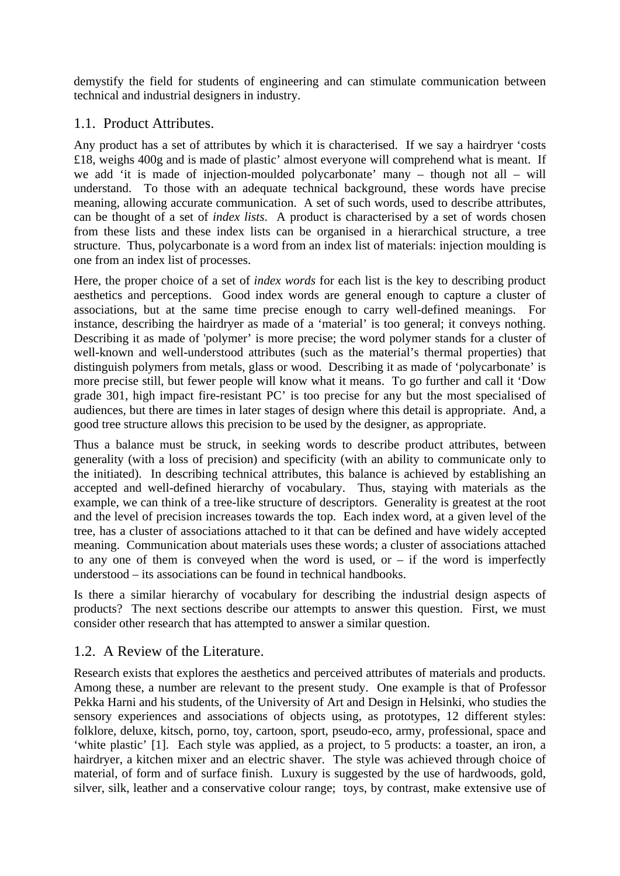demystify the field for students of engineering and can stimulate communication between technical and industrial designers in industry.

#### 1.1. Product Attributes.

Any product has a set of attributes by which it is characterised. If we say a hairdryer 'costs £18, weighs 400g and is made of plastic' almost everyone will comprehend what is meant. If we add 'it is made of injection-moulded polycarbonate' many – though not all – will understand. To those with an adequate technical background, these words have precise meaning, allowing accurate communication. A set of such words, used to describe attributes, can be thought of a set of *index lists*. A product is characterised by a set of words chosen from these lists and these index lists can be organised in a hierarchical structure, a tree structure. Thus, polycarbonate is a word from an index list of materials: injection moulding is one from an index list of processes.

Here, the proper choice of a set of *index words* for each list is the key to describing product aesthetics and perceptions. Good index words are general enough to capture a cluster of associations, but at the same time precise enough to carry well-defined meanings. For instance, describing the hairdryer as made of a 'material' is too general; it conveys nothing. Describing it as made of 'polymer' is more precise; the word polymer stands for a cluster of well-known and well-understood attributes (such as the material's thermal properties) that distinguish polymers from metals, glass or wood. Describing it as made of 'polycarbonate' is more precise still, but fewer people will know what it means. To go further and call it 'Dow grade 301, high impact fire-resistant PC' is too precise for any but the most specialised of audiences, but there are times in later stages of design where this detail is appropriate. And, a good tree structure allows this precision to be used by the designer, as appropriate.

Thus a balance must be struck, in seeking words to describe product attributes, between generality (with a loss of precision) and specificity (with an ability to communicate only to the initiated). In describing technical attributes, this balance is achieved by establishing an accepted and well-defined hierarchy of vocabulary. Thus, staying with materials as the example, we can think of a tree-like structure of descriptors. Generality is greatest at the root and the level of precision increases towards the top. Each index word, at a given level of the tree, has a cluster of associations attached to it that can be defined and have widely accepted meaning. Communication about materials uses these words; a cluster of associations attached to any one of them is conveyed when the word is used, or  $-$  if the word is imperfectly understood – its associations can be found in technical handbooks.

Is there a similar hierarchy of vocabulary for describing the industrial design aspects of products? The next sections describe our attempts to answer this question. First, we must consider other research that has attempted to answer a similar question.

### 1.2. A Review of the Literature.

Research exists that explores the aesthetics and perceived attributes of materials and products. Among these, a number are relevant to the present study. One example is that of Professor Pekka Harni and his students, of the University of Art and Design in Helsinki, who studies the sensory experiences and associations of objects using, as prototypes, 12 different styles: folklore, deluxe, kitsch, porno, toy, cartoon, sport, pseudo-eco, army, professional, space and 'white plastic' [1]. Each style was applied, as a project, to 5 products: a toaster, an iron, a hairdryer, a kitchen mixer and an electric shaver. The style was achieved through choice of material, of form and of surface finish. Luxury is suggested by the use of hardwoods, gold, silver, silk, leather and a conservative colour range; toys, by contrast, make extensive use of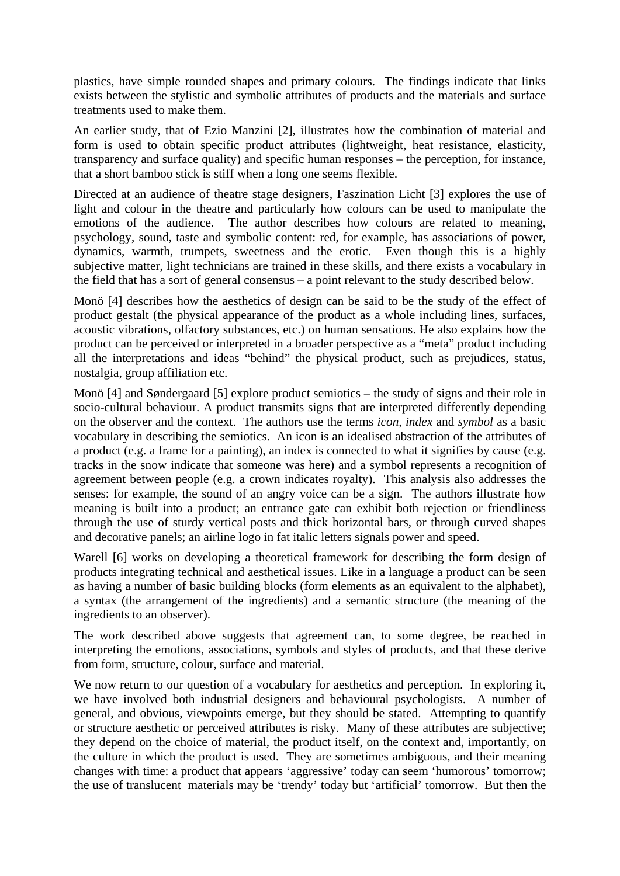plastics, have simple rounded shapes and primary colours. The findings indicate that links exists between the stylistic and symbolic attributes of products and the materials and surface treatments used to make them.

An earlier study, that of Ezio Manzini [2], illustrates how the combination of material and form is used to obtain specific product attributes (lightweight, heat resistance, elasticity, transparency and surface quality) and specific human responses – the perception, for instance, that a short bamboo stick is stiff when a long one seems flexible.

Directed at an audience of theatre stage designers, Faszination Licht [3] explores the use of light and colour in the theatre and particularly how colours can be used to manipulate the emotions of the audience. The author describes how colours are related to meaning, psychology, sound, taste and symbolic content: red, for example, has associations of power, dynamics, warmth, trumpets, sweetness and the erotic. Even though this is a highly subjective matter, light technicians are trained in these skills, and there exists a vocabulary in the field that has a sort of general consensus – a point relevant to the study described below.

Monö [4] describes how the aesthetics of design can be said to be the study of the effect of product gestalt (the physical appearance of the product as a whole including lines, surfaces, acoustic vibrations, olfactory substances, etc.) on human sensations. He also explains how the product can be perceived or interpreted in a broader perspective as a "meta" product including all the interpretations and ideas "behind" the physical product, such as prejudices, status, nostalgia, group affiliation etc.

Monö [4] and Søndergaard [5] explore product semiotics – the study of signs and their role in socio-cultural behaviour. A product transmits signs that are interpreted differently depending on the observer and the context. The authors use the terms *icon, index* and *symbol* as a basic vocabulary in describing the semiotics. An icon is an idealised abstraction of the attributes of a product (e.g. a frame for a painting), an index is connected to what it signifies by cause (e.g. tracks in the snow indicate that someone was here) and a symbol represents a recognition of agreement between people (e.g. a crown indicates royalty). This analysis also addresses the senses: for example, the sound of an angry voice can be a sign. The authors illustrate how meaning is built into a product; an entrance gate can exhibit both rejection or friendliness through the use of sturdy vertical posts and thick horizontal bars, or through curved shapes and decorative panels; an airline logo in fat italic letters signals power and speed.

Warell [6] works on developing a theoretical framework for describing the form design of products integrating technical and aesthetical issues. Like in a language a product can be seen as having a number of basic building blocks (form elements as an equivalent to the alphabet), a syntax (the arrangement of the ingredients) and a semantic structure (the meaning of the ingredients to an observer).

The work described above suggests that agreement can, to some degree, be reached in interpreting the emotions, associations, symbols and styles of products, and that these derive from form, structure, colour, surface and material.

We now return to our question of a vocabulary for aesthetics and perception. In exploring it, we have involved both industrial designers and behavioural psychologists. A number of general, and obvious, viewpoints emerge, but they should be stated. Attempting to quantify or structure aesthetic or perceived attributes is risky. Many of these attributes are subjective; they depend on the choice of material, the product itself, on the context and, importantly, on the culture in which the product is used. They are sometimes ambiguous, and their meaning changes with time: a product that appears 'aggressive' today can seem 'humorous' tomorrow; the use of translucent materials may be 'trendy' today but 'artificial' tomorrow. But then the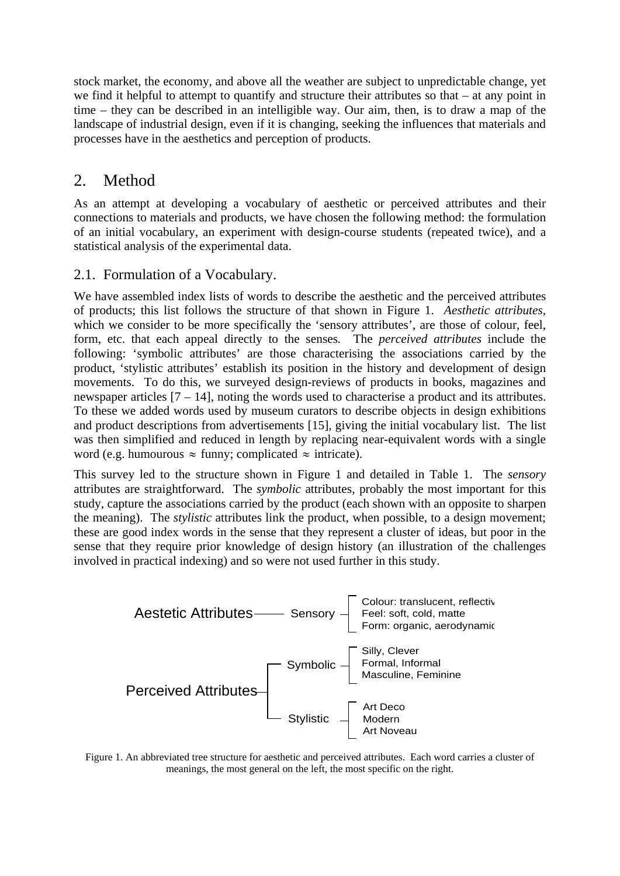stock market, the economy, and above all the weather are subject to unpredictable change, yet we find it helpful to attempt to quantify and structure their attributes so that – at any point in time – they can be described in an intelligible way. Our aim, then, is to draw a map of the landscape of industrial design, even if it is changing, seeking the influences that materials and processes have in the aesthetics and perception of products.

# 2. Method

As an attempt at developing a vocabulary of aesthetic or perceived attributes and their connections to materials and products, we have chosen the following method: the formulation of an initial vocabulary, an experiment with design-course students (repeated twice), and a statistical analysis of the experimental data.

#### 2.1. Formulation of a Vocabulary.

We have assembled index lists of words to describe the aesthetic and the perceived attributes of products; this list follows the structure of that shown in Figure 1. *Aesthetic attributes*, which we consider to be more specifically the 'sensory attributes', are those of colour, feel, form, etc. that each appeal directly to the senses*.* The *perceived attributes* include the following: 'symbolic attributes' are those characterising the associations carried by the product, 'stylistic attributes' establish its position in the history and development of design movements. To do this, we surveyed design-reviews of products in books, magazines and newspaper articles [7 – 14], noting the words used to characterise a product and its attributes. To these we added words used by museum curators to describe objects in design exhibitions and product descriptions from advertisements [15], giving the initial vocabulary list. The list was then simplified and reduced in length by replacing near-equivalent words with a single word (e.g. humourous  $\approx$  funny; complicated  $\approx$  intricate).

This survey led to the structure shown in Figure 1 and detailed in Table 1. The *sensory* attributes are straightforward. The *symbolic* attributes, probably the most important for this study, capture the associations carried by the product (each shown with an opposite to sharpen the meaning). The *stylistic* attributes link the product, when possible, to a design movement; these are good index words in the sense that they represent a cluster of ideas, but poor in the sense that they require prior knowledge of design history (an illustration of the challenges involved in practical indexing) and so were not used further in this study.



Figure 1. An abbreviated tree structure for aesthetic and perceived attributes. Each word carries a cluster of meanings, the most general on the left, the most specific on the right.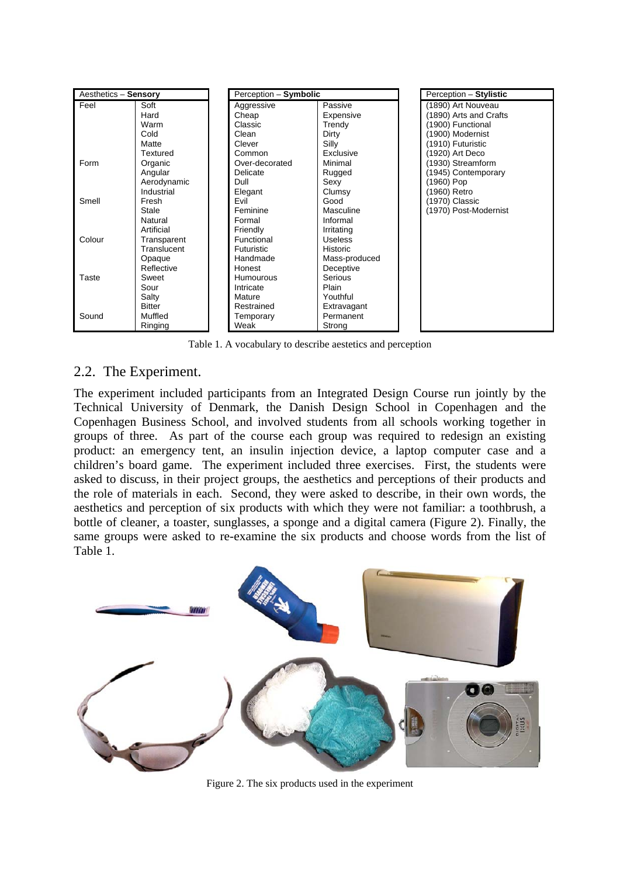| Aesthetics - Sensory |               | Perception - Symbolic |                 | Perception - Stylistic |
|----------------------|---------------|-----------------------|-----------------|------------------------|
| Feel                 | Soft          | Aggressive            | Passive         | (1890) Art Nouveau     |
|                      | Hard          | Cheap                 | Expensive       | (1890) Arts and Crafts |
|                      | Warm          | Classic               | Trendy          | (1900) Functional      |
|                      | Cold          | Clean                 | Dirty           | (1900) Modernist       |
|                      | Matte         | Clever                | Silly           | (1910) Futuristic      |
|                      | Textured      | Common                | Exclusive       | (1920) Art Deco        |
| Form                 | Organic       | Over-decorated        | Minimal         | (1930) Streamform      |
|                      | Angular       | Delicate              | Rugged          | (1945) Contemporary    |
|                      | Aerodynamic   | Dull                  | Sexy            | (1960) Pop             |
|                      | Industrial    | Elegant               | Clumsy          | (1960) Retro           |
| Smell                | Fresh         | Evil                  | Good            | (1970) Classic         |
|                      | Stale         | Feminine              | Masculine       | (1970) Post-Modernist  |
|                      | Natural       | Formal                | Informal        |                        |
|                      | Artificial    | Friendly              | Irritating      |                        |
| Colour               | Transparent   | Functional            | <b>Useless</b>  |                        |
|                      | Translucent   | <b>Futuristic</b>     | <b>Historic</b> |                        |
|                      | Opaque        | Handmade              | Mass-produced   |                        |
|                      | Reflective    | Honest                | Deceptive       |                        |
| Taste                | Sweet         | Humourous             | Serious         |                        |
|                      | Sour          | Intricate             | Plain           |                        |
|                      | Salty         | Mature                | Youthful        |                        |
|                      | <b>Bitter</b> | Restrained            | Extravagant     |                        |
| Sound                | Muffled       | Temporary             | Permanent       |                        |
|                      | Ringing       | Weak                  | Strong          |                        |

Table 1. A vocabulary to describe aestetics and perception

### 2.2. The Experiment.

The experiment included participants from an Integrated Design Course run jointly by the Technical University of Denmark, the Danish Design School in Copenhagen and the Copenhagen Business School, and involved students from all schools working together in groups of three. As part of the course each group was required to redesign an existing product: an emergency tent, an insulin injection device, a laptop computer case and a children's board game. The experiment included three exercises. First, the students were asked to discuss, in their project groups, the aesthetics and perceptions of their products and the role of materials in each. Second, they were asked to describe, in their own words, the aesthetics and perception of six products with which they were not familiar: a toothbrush, a bottle of cleaner, a toaster, sunglasses, a sponge and a digital camera (Figure 2). Finally, the same groups were asked to re-examine the six products and choose words from the list of Table 1.



Figure 2. The six products used in the experiment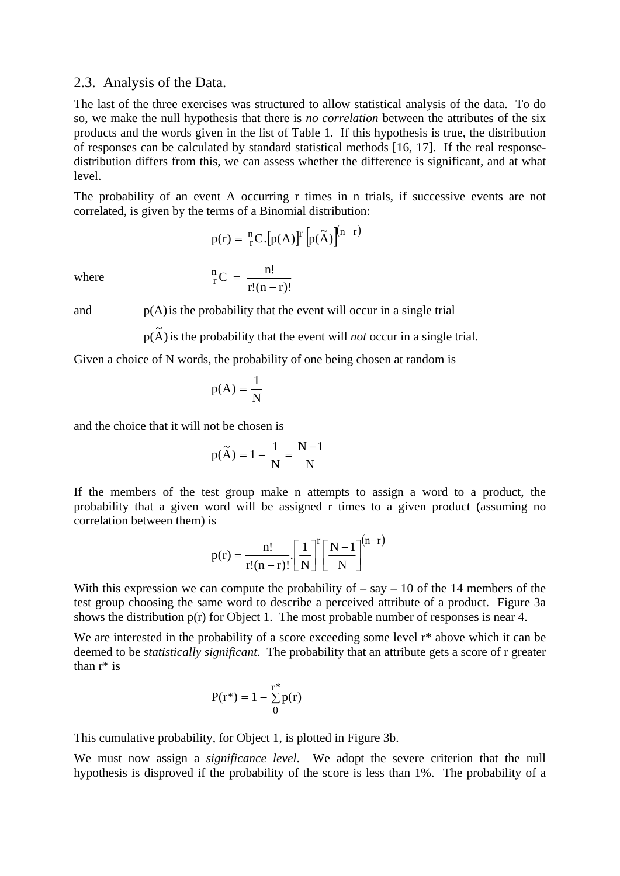#### 2.3. Analysis of the Data.

The last of the three exercises was structured to allow statistical analysis of the data. To do so, we make the null hypothesis that there is *no correlation* between the attributes of the six products and the words given in the list of Table 1. If this hypothesis is true, the distribution of responses can be calculated by standard statistical methods [16, 17]. If the real responsedistribution differs from this, we can assess whether the difference is significant, and at what level.

The probability of an event A occurring r times in n trials, if successive events are not correlated, is given by the terms of a Binomial distribution:

$$
p(r) = \binom{n}{r} C \cdot \left[ p(A) \right]^r \left[ p(\widetilde{A}) \right]^{(n-r)}
$$

where

 $r!(n-r)!$  ${}_{\rm r}^{\rm n}$ C =  $\frac{{\rm n}!}{{\rm r}!({\rm n}-1)!}$ 

and  $p(A)$  is the probability that the event will occur in a single trial

 $p(A)$  is the probability that the event will *not* occur in a single trial.

Given a choice of N words, the probability of one being chosen at random is

$$
p(A) = \frac{1}{N}
$$

and the choice that it will not be chosen is

$$
p(\widetilde{A}) = 1 - \frac{1}{N} = \frac{N-1}{N}
$$

If the members of the test group make n attempts to assign a word to a product, the probability that a given word will be assigned r times to a given product (assuming no correlation between them) is

$$
p(r) = \frac{n!}{r!(n-r)!} \left[\frac{1}{N}\right]^r \left[\frac{N-1}{N}\right]^{(n-r)}
$$

With this expression we can compute the probability of  $-$  say  $-$  10 of the 14 members of the test group choosing the same word to describe a perceived attribute of a product. Figure 3a shows the distribution  $p(r)$  for Object 1. The most probable number of responses is near 4.

We are interested in the probability of a score exceeding some level  $r^*$  above which it can be deemed to be *statistically significant*. The probability that an attribute gets a score of r greater than r\* is

$$
P(r^*) = 1 - \sum_{0}^{r^*} p(r)
$$

This cumulative probability, for Object 1, is plotted in Figure 3b.

We must now assign a *significance level*. We adopt the severe criterion that the null hypothesis is disproved if the probability of the score is less than 1%. The probability of a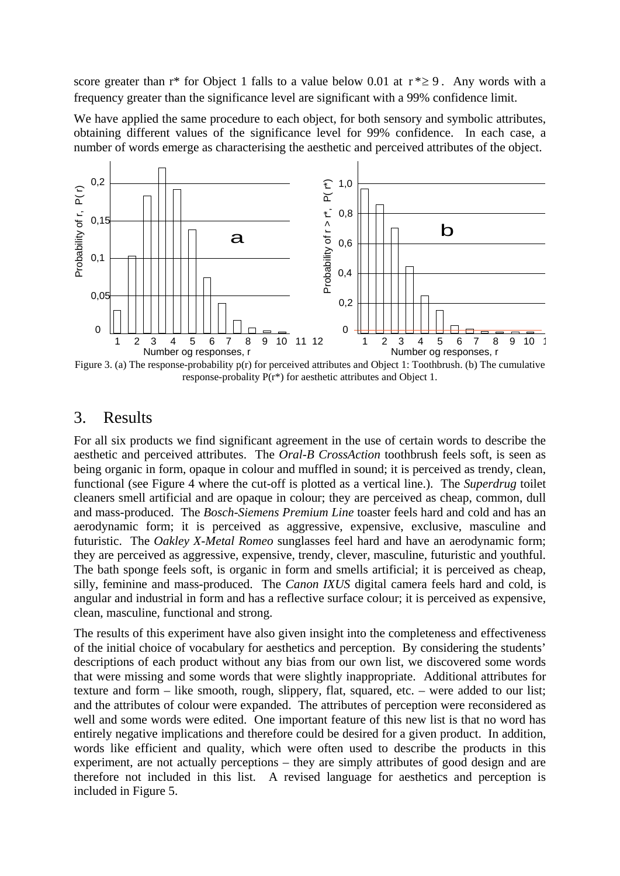score greater than  $r^*$  for Object 1 falls to a value below 0.01 at  $r^* \ge 9$ . Any words with a frequency greater than the significance level are significant with a 99% confidence limit.

We have applied the same procedure to each object, for both sensory and symbolic attributes, obtaining different values of the significance level for 99% confidence. In each case, a number of words emerge as characterising the aesthetic and perceived attributes of the object.



Figure 3. (a) The response-probability p(r) for perceived attributes and Object 1: Toothbrush. (b) The cumulative response-probality P(r\*) for aesthetic attributes and Object 1.

### 3. Results

For all six products we find significant agreement in the use of certain words to describe the aesthetic and perceived attributes. The *Oral-B CrossAction* toothbrush feels soft, is seen as being organic in form, opaque in colour and muffled in sound; it is perceived as trendy, clean, functional (see Figure 4 where the cut-off is plotted as a vertical line.). The *Superdrug* toilet cleaners smell artificial and are opaque in colour; they are perceived as cheap, common, dull and mass-produced. The *Bosch-Siemens Premium Line* toaster feels hard and cold and has an aerodynamic form; it is perceived as aggressive, expensive, exclusive, masculine and futuristic. The *Oakley X-Metal Romeo* sunglasses feel hard and have an aerodynamic form; they are perceived as aggressive, expensive, trendy, clever, masculine, futuristic and youthful. The bath sponge feels soft, is organic in form and smells artificial; it is perceived as cheap, silly, feminine and mass-produced. The *Canon IXUS* digital camera feels hard and cold, is angular and industrial in form and has a reflective surface colour; it is perceived as expensive, clean, masculine, functional and strong.

The results of this experiment have also given insight into the completeness and effectiveness of the initial choice of vocabulary for aesthetics and perception. By considering the students' descriptions of each product without any bias from our own list, we discovered some words that were missing and some words that were slightly inappropriate. Additional attributes for texture and form – like smooth, rough, slippery, flat, squared, etc. – were added to our list; and the attributes of colour were expanded. The attributes of perception were reconsidered as well and some words were edited. One important feature of this new list is that no word has entirely negative implications and therefore could be desired for a given product. In addition, words like efficient and quality, which were often used to describe the products in this experiment, are not actually perceptions – they are simply attributes of good design and are therefore not included in this list. A revised language for aesthetics and perception is included in Figure 5.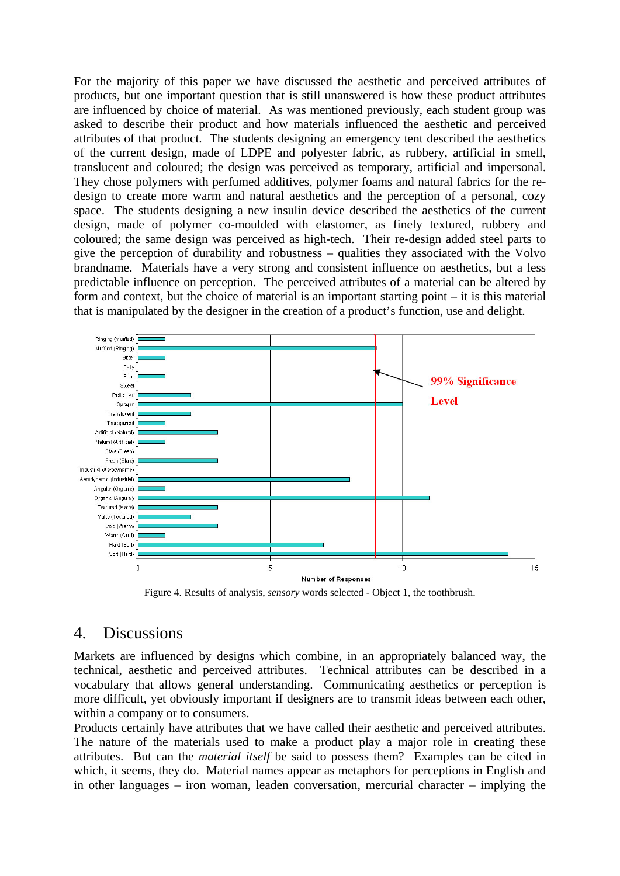For the majority of this paper we have discussed the aesthetic and perceived attributes of products, but one important question that is still unanswered is how these product attributes are influenced by choice of material. As was mentioned previously, each student group was asked to describe their product and how materials influenced the aesthetic and perceived attributes of that product. The students designing an emergency tent described the aesthetics of the current design, made of LDPE and polyester fabric, as rubbery, artificial in smell, translucent and coloured; the design was perceived as temporary, artificial and impersonal. They chose polymers with perfumed additives, polymer foams and natural fabrics for the redesign to create more warm and natural aesthetics and the perception of a personal, cozy space. The students designing a new insulin device described the aesthetics of the current design, made of polymer co-moulded with elastomer, as finely textured, rubbery and coloured; the same design was perceived as high-tech. Their re-design added steel parts to give the perception of durability and robustness – qualities they associated with the Volvo brandname. Materials have a very strong and consistent influence on aesthetics, but a less predictable influence on perception. The perceived attributes of a material can be altered by form and context, but the choice of material is an important starting point – it is this material that is manipulated by the designer in the creation of a product's function, use and delight.



Figure 4. Results of analysis, *sensory* words selected - Object 1, the toothbrush.

#### 4. Discussions

Markets are influenced by designs which combine, in an appropriately balanced way, the technical, aesthetic and perceived attributes. Technical attributes can be described in a vocabulary that allows general understanding. Communicating aesthetics or perception is more difficult, yet obviously important if designers are to transmit ideas between each other, within a company or to consumers.

Products certainly have attributes that we have called their aesthetic and perceived attributes. The nature of the materials used to make a product play a major role in creating these attributes. But can the *material itself* be said to possess them? Examples can be cited in which, it seems, they do. Material names appear as metaphors for perceptions in English and in other languages – iron woman, leaden conversation, mercurial character – implying the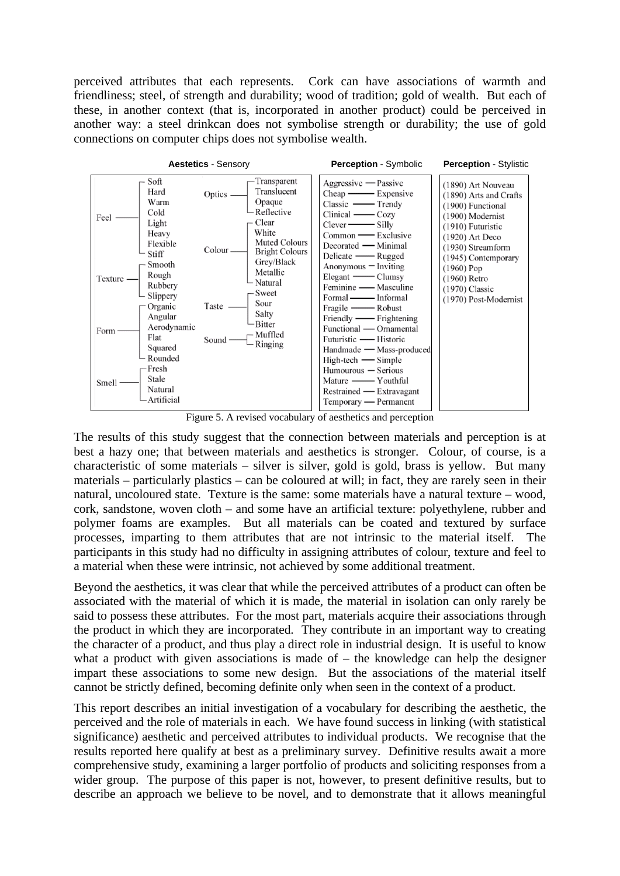perceived attributes that each represents. Cork can have associations of warmth and friendliness; steel, of strength and durability; wood of tradition; gold of wealth. But each of these, in another context (that is, incorporated in another product) could be perceived in another way: a steel drinkcan does not symbolise strength or durability; the use of gold connections on computer chips does not symbolise wealth.



Figure 5. A revised vocabulary of aesthetics and perception

The results of this study suggest that the connection between materials and perception is at best a hazy one; that between materials and aesthetics is stronger. Colour, of course, is a characteristic of some materials – silver is silver, gold is gold, brass is yellow. But many materials – particularly plastics – can be coloured at will; in fact, they are rarely seen in their natural, uncoloured state. Texture is the same: some materials have a natural texture – wood, cork, sandstone, woven cloth – and some have an artificial texture: polyethylene, rubber and polymer foams are examples. But all materials can be coated and textured by surface processes, imparting to them attributes that are not intrinsic to the material itself. The participants in this study had no difficulty in assigning attributes of colour, texture and feel to a material when these were intrinsic, not achieved by some additional treatment.

Beyond the aesthetics, it was clear that while the perceived attributes of a product can often be associated with the material of which it is made, the material in isolation can only rarely be said to possess these attributes. For the most part, materials acquire their associations through the product in which they are incorporated. They contribute in an important way to creating the character of a product, and thus play a direct role in industrial design. It is useful to know what a product with given associations is made of  $-$  the knowledge can help the designer impart these associations to some new design. But the associations of the material itself cannot be strictly defined, becoming definite only when seen in the context of a product.

This report describes an initial investigation of a vocabulary for describing the aesthetic, the perceived and the role of materials in each. We have found success in linking (with statistical significance) aesthetic and perceived attributes to individual products. We recognise that the results reported here qualify at best as a preliminary survey. Definitive results await a more comprehensive study, examining a larger portfolio of products and soliciting responses from a wider group. The purpose of this paper is not, however, to present definitive results, but to describe an approach we believe to be novel, and to demonstrate that it allows meaningful